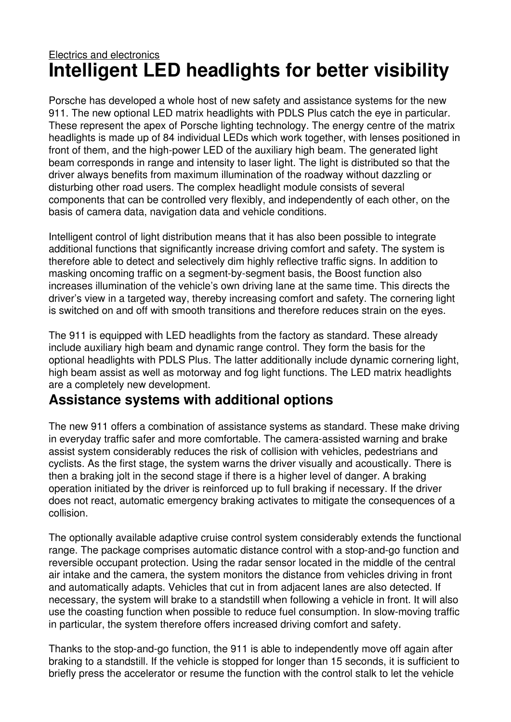## Electrics and electronics **Intelligent LED headlights for better visibility**

Porsche has developed a whole host of new safety and assistance systems for the new 911. The new optional LED matrix headlights with PDLS Plus catch the eye in particular. These represent the apex of Porsche lighting technology. The energy centre of the matrix headlights is made up of 84 individual LEDs which work together, with lenses positioned in front of them, and the high-power LED of the auxiliary high beam. The generated light beam corresponds in range and intensity to laser light. The light is distributed so that the driver always benefits from maximum illumination of the roadway without dazzling or disturbing other road users. The complex headlight module consists of several components that can be controlled very flexibly, and independently of each other, on the basis of camera data, navigation data and vehicle conditions.

Intelligent control of light distribution means that it has also been possible to integrate additional functions that significantly increase driving comfort and safety. The system is therefore able to detect and selectively dim highly reflective traffic signs. In addition to masking oncoming traffic on a segment-by-segment basis, the Boost function also increases illumination of the vehicle's own driving lane at the same time. This directs the driver's view in a targeted way, thereby increasing comfort and safety. The cornering light is switched on and off with smooth transitions and therefore reduces strain on the eyes.

The 911 is equipped with LED headlights from the factory as standard. These already include auxiliary high beam and dynamic range control. They form the basis for the optional headlights with PDLS Plus. The latter additionally include dynamic cornering light, high beam assist as well as motorway and fog light functions. The LED matrix headlights are a completely new development.

### **Assistance systems with additional options**

The new 911 offers a combination of assistance systems as standard. These make driving in everyday traffic safer and more comfortable. The camera-assisted warning and brake assist system considerably reduces the risk of collision with vehicles, pedestrians and cyclists. As the first stage, the system warns the driver visually and acoustically. There is then a braking jolt in the second stage if there is a higher level of danger. A braking operation initiated by the driver is reinforced up to full braking if necessary. If the driver does not react, automatic emergency braking activates to mitigate the consequences of a collision.

The optionally available adaptive cruise control system considerably extends the functional range. The package comprises automatic distance control with a stop-and-go function and reversible occupant protection. Using the radar sensor located in the middle of the central air intake and the camera, the system monitors the distance from vehicles driving in front and automatically adapts. Vehicles that cut in from adjacent lanes are also detected. If necessary, the system will brake to a standstill when following a vehicle in front. It will also use the coasting function when possible to reduce fuel consumption. In slow-moving traffic in particular, the system therefore offers increased driving comfort and safety.

Thanks to the stop-and-go function, the 911 is able to independently move off again after braking to a standstill. If the vehicle is stopped for longer than 15 seconds, it is sufficient to briefly press the accelerator or resume the function with the control stalk to let the vehicle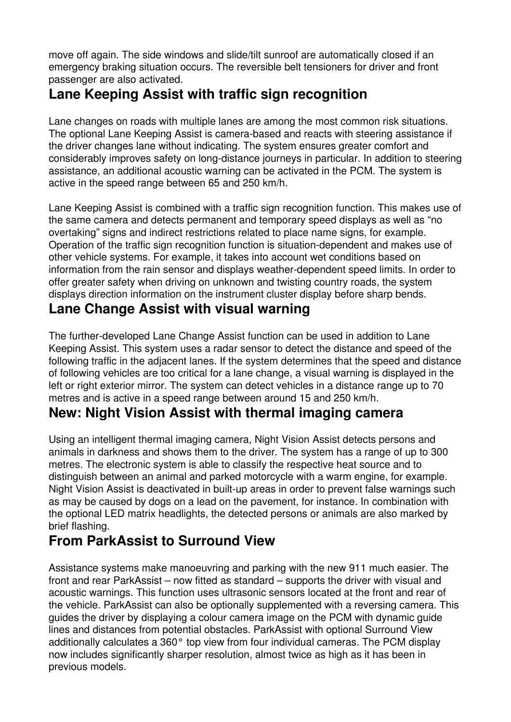move off again. The side windows and slide/tilt sunroof are automatically closed if an emergency braking situation occurs. The reversible belt tensioners for driver and front passenger are also activated.

# **Lane Keeping Assist with traffic sign recognition**

Lane changes on roads with multiple lanes are among the most common risk situations. The optional Lane Keeping Assist is camera-based and reacts with steering assistance if the driver changes lane without indicating. The system ensures greater comfort and considerably improves safety on long-distance journeys in particular. In addition to steering assistance, an additional acoustic warning can be activated in the PCM. The system is active in the speed range between 65 and 250 km/h.

Lane Keeping Assist is combined with a traffic sign recognition function. This makes use of the same camera and detects permanent and temporary speed displays as well as "no overtaking" signs and indirect restrictions related to place name signs, for example. Operation of the traffic sign recognition function is situation-dependent and makes use of other vehicle systems. For example, it takes into account wet conditions based on information from the rain sensor and displays weather-dependent speed limits. In order to offer greater safety when driving on unknown and twisting country roads, the system displays direction information on the instrument cluster display before sharp bends.

### **Lane Change Assist with visual warning**

The further-developed Lane Change Assist function can be used in addition to Lane Keeping Assist. This system uses a radar sensor to detect the distance and speed of the following traffic in the adjacent lanes. If the system determines that the speed and distance of following vehicles are too critical for a lane change, a visual warning is displayed in the left or right exterior mirror. The system can detect vehicles in a distance range up to 70 metres and is active in a speed range between around 15 and 250 km/h.

## **New: Night Vision Assist with thermal imaging camera**

Using an intelligent thermal imaging camera, Night Vision Assist detects persons and animals in darkness and shows them to the driver. The system has a range of up to 300 metres. The electronic system is able to classify the respective heat source and to distinguish between an animal and parked motorcycle with a warm engine, for example. Night Vision Assist is deactivated in built-up areas in order to prevent false warnings such as may be caused by dogs on a lead on the pavement, for instance. In combination with the optional LED matrix headlights, the detected persons or animals are also marked by brief flashing.

## **From ParkAssist to Surround View**

Assistance systems make manoeuvring and parking with the new 911 much easier. The front and rear ParkAssist – now fitted as standard – supports the driver with visual and acoustic warnings. This function uses ultrasonic sensors located at the front and rear of the vehicle. ParkAssist can also be optionally supplemented with a reversing camera. This guides the driver by displaying a colour camera image on the PCM with dynamic guide lines and distances from potential obstacles. ParkAssist with optional Surround View additionally calculates a 360° top view from four individual cameras. The PCM display now includes significantly sharper resolution, almost twice as high as it has been in previous models.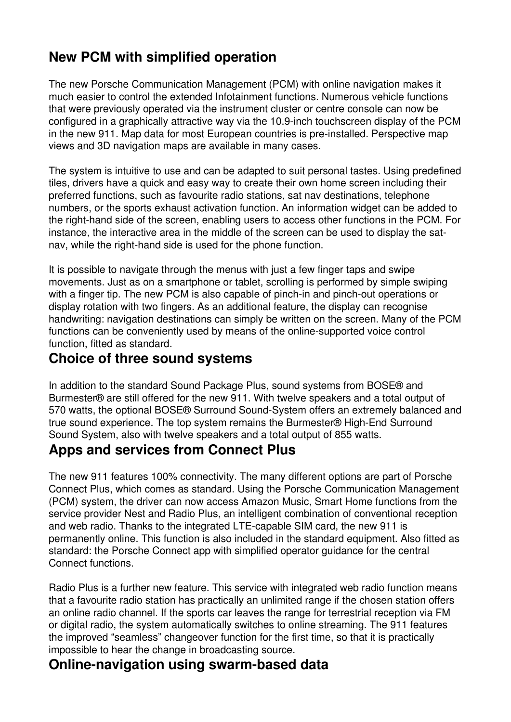# **New PCM with simplified operation**

The new Porsche Communication Management (PCM) with online navigation makes it much easier to control the extended Infotainment functions. Numerous vehicle functions that were previously operated via the instrument cluster or centre console can now be configured in a graphically attractive way via the 10.9-inch touchscreen display of the PCM in the new 911. Map data for most European countries is pre-installed. Perspective map views and 3D navigation maps are available in many cases.

The system is intuitive to use and can be adapted to suit personal tastes. Using predefined tiles, drivers have a quick and easy way to create their own home screen including their preferred functions, such as favourite radio stations, sat nav destinations, telephone numbers, or the sports exhaust activation function. An information widget can be added to the right-hand side of the screen, enabling users to access other functions in the PCM. For instance, the interactive area in the middle of the screen can be used to display the satnav, while the right-hand side is used for the phone function.

It is possible to navigate through the menus with just a few finger taps and swipe movements. Just as on a smartphone or tablet, scrolling is performed by simple swiping with a finger tip. The new PCM is also capable of pinch-in and pinch-out operations or display rotation with two fingers. As an additional feature, the display can recognise handwriting: navigation destinations can simply be written on the screen. Many of the PCM functions can be conveniently used by means of the online-supported voice control function, fitted as standard.

## **Choice of three sound systems**

In addition to the standard Sound Package Plus, sound systems from BOSE® and Burmester® are still offered for the new 911. With twelve speakers and a total output of 570 watts, the optional BOSE® Surround Sound-System offers an extremely balanced and true sound experience. The top system remains the Burmester® High-End Surround Sound System, also with twelve speakers and a total output of 855 watts.

### **Apps and services from Connect Plus**

The new 911 features 100% connectivity. The many different options are part of Porsche Connect Plus, which comes as standard. Using the Porsche Communication Management (PCM) system, the driver can now access Amazon Music, Smart Home functions from the service provider Nest and Radio Plus, an intelligent combination of conventional reception and web radio. Thanks to the integrated LTE-capable SIM card, the new 911 is permanently online. This function is also included in the standard equipment. Also fitted as standard: the Porsche Connect app with simplified operator guidance for the central Connect functions.

Radio Plus is a further new feature. This service with integrated web radio function means that a favourite radio station has practically an unlimited range if the chosen station offers an online radio channel. If the sports car leaves the range for terrestrial reception via FM or digital radio, the system automatically switches to online streaming. The 911 features the improved "seamless" changeover function for the first time, so that it is practically impossible to hear the change in broadcasting source.

### **Online-navigation using swarm-based data**